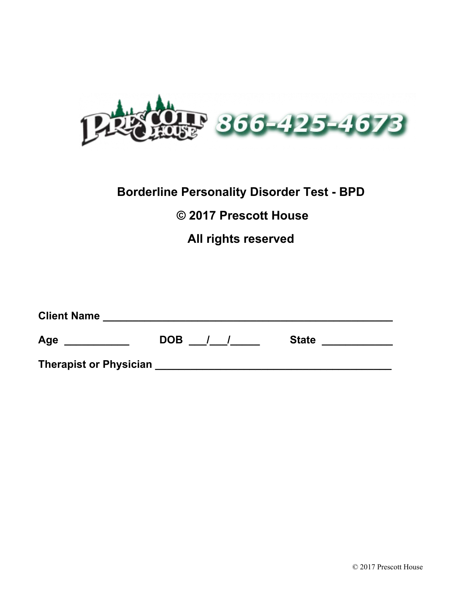

## **Borderline Personality Disorder Test - BPD**

## **© 2017 Prescott House**

## **All rights reserved**

| <b>Client Name</b>            |            |              |
|-------------------------------|------------|--------------|
| Age                           | <b>DOB</b> | <b>State</b> |
| <b>Therapist or Physician</b> |            |              |